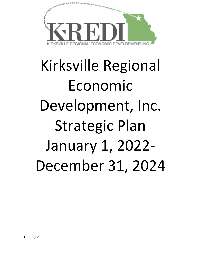

# Kirksville Regional Economic Development, Inc. Strategic Plan January 1, 2022- December 31, 2024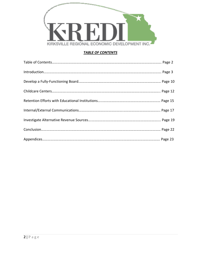

# *TABLE OF CONTENTS*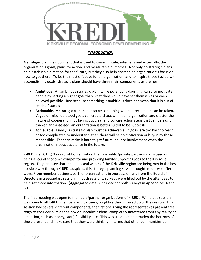

# *INTRODUCTION*

A strategic plan is a document that is used to communicate, internally and externally, the organization's goals, plans for action, and measurable outcomes. Not only do strategic plans help establish a direction for the future, but they also help sharpen an organization's focus on how to get there. To be the most effective for an organization, and to inspire those tasked with accomplishing goals, strategic plans should have three main components as themes:

- **Ambitious**. An ambitious strategic plan, while potentially daunting, can also motivate people by setting a higher goal than what they would have set themselves or even believed possible. Just because something is ambitious does not mean that it is out of reach of success.
- **Actionable**. A strategic plan must also be something where direct action can be taken. Vague or misunderstood goals can create chaos within an organization and shatter the nature of cooperation. By laying out clear and concise action steps that can be easily tracked and assessed, an organization is better suited to be successful.
- **Achievable**. Finally, a strategic plan must be achievable. If goals are too hard to reach or too complicated to understand, then there will be no motivation or buy-in by those responsible. That can make it hard to get future input or involvement when the organization needs assistance in the future.

K-REDI is a 501 (c) 3 non-profit organization that is a public/private partnership focused on being a sound economic competitor and providing family-supporting jobs to the Kirksville region. To guarantee that the needs and wants of the Kirksville region are being met in the best possible way through K-REDI auspices, this strategic planning session sought input two different ways: From member business/partner organizations in one session and from the Board of Directors in a secondary session. In both sessions, surveys were filled out by the attendees to help get more information. (Aggregated data is included for both surveys in Appendices A and B.)

The first meeting was open to members/partner organizations of K-REDI. While this session was open to all K-REDI members and partners, roughly a third showed up to the session. This session had several different components, the first one giving the representatives present free reign to consider outside the box or unrealistic ideas, completely unfettered from any reality or limitation, such as money, staff, feasibility, etc. This was used to help broaden the horizons of those present and make sure that they were thinking in terms that other communities do.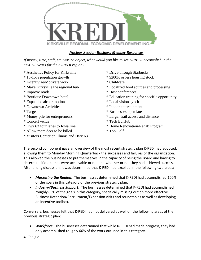

# *Nuclear Session Business Member Responses*

*If money, time, staff, etc. was no object, what would you like to see K-REDI accomplish in the next 1-3 years for the K-REDI region?*

- \* Aesthetics Policy for Kirksville \* Drive-through Starbucks
- 
- \* Incentivize/Motivate work \* Childcare
- 
- 
- 
- \* Expanded airport options \* Local vision synch
- 
- 
- 
- \* Concert venue \* Tech Ed Hub
- 
- \* Allow more deer to be killed \* Top Golf
- \* Visitors Center on Illinois and Hwy 63
- 
- \* 10-15% population growth \* \$200K or less housing stock
	-
- \* Make Kirksville the regional hub \* Localized food sources and processing
- \* Improve roads \* Host conferences
- \* Boutique Downtown hotel \* Education training for specific opportunity
	-
- \* Downtown Activities \* Indoor entertainment
- \* Target \* Businesses open late
- \* Money pile for entrepreneurs \* Larger trail access and distance
	-
- \* Hwy 63 four lanes to Iowa line \* Home Renovation/Rehab Program
	-

The second component gave an overview of the most recent strategic plan K-REDI had adopted, allowing them to Monday Morning Quarterback the successes and failures of the organization. This allowed the businesses to put themselves in the capacity of being the Board and having to determine if outcomes were achievable or not and whether or not they had achieved success. After a long discussion, it was determined that K-REDI had excelled in the following two areas:

- *Marketing the Region***.** The businesses determined that K-REDI had accomplished 100% of the goals in this category of the previous strategic plan.
- *Industry/Business Support***.** The businesses determined that K-REDI had accomplished roughly 80% of the goals in this category, specifically missing out on more effective Business Retention/Recruitment/Expansion visits and roundtables as well as developing an incentive toolbox.

Conversely, businesses felt that K-REDI had not delivered as well on the following areas of the previous strategic plan:

• *Workforce*. The businesses determined that while K-REDI had made progress, they had only accomplished roughly 66% of the work outlined in this category.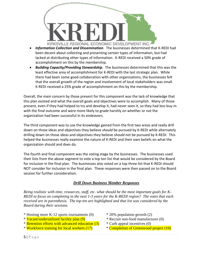

- *Information Collection and Dissemination*. The businesses determined that K-REDI had been decent about collecting and presenting certain types of information, but had lacked at distributing other types of information. K-REDI received a 50% grade of accomplishment on this by the membership.
- *Building Capacity/Providing Stewardship*. The businesses determined that this was the least effective area of accomplishment for K-REDI with the last strategic plan. While there had been some good collaboration with other organizations, the businesses felt that the overall growth of the region and involvement of local stakeholders was small. K-REDI received a 25% grade of accomplishment on this by the membership.

Overall, the main concern by those present for this component was the lack of knowledge that this plan existed and what the overall goals and objectives were to accomplish. Many of those present, even if they had helped to try and develop it, had never seen it, so they had less buy-in with the final outcome and were more likely to grade harshly on whether or not the organization had been successful in its endeavors.

The third component was to use the knowledge gained from the first two areas and really drill down on those ideas and objectives they believe *should* be pursued by K-REDI while alternately drilling down on those ideas and objectives they believe *should not* be pursued by K-REDI. This helped the businesses really examine the nature of K-REDI and their own beliefs on what the organization should and does do.

The fourth and final component was the voting stage by the businesses. The businesses used their lists from the above segment to vote a top ten list that would be considered by the Board for inclusion in the final plan. The businesses also voted on a top three list that K-REDI should NOT consider for inclusion in the final plan. These responses were then passed on to the Board session for further consideration.

# *Drill Down Business Member Responses*

*Being realistic with time, resources, staff, etc. what should be the most important goals for K-REDI to focus on completing in the next 1-3 years for the K-REDI region? The votes that each received are in parenthesis. The top ten are highlighted and that list was considered by the Board during their sessions.*

- \* Hosting more K-12 sports tournaments (0) \* 20% population growth (2)
- \* Vacant/underutilized facility plan (9) \* Recruit non-food manufacturer (0)
- \* Retention efforts with advanced education (3) \* Curb appeal incentives (0)
- \* Workforce training for local workers (17) \* Completion of Greenwood project (10)
- 
- 
- -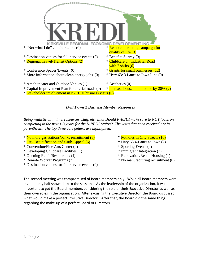

# *Drill Down 2 Business Member Responses*

*Being realistic with time, resources, staff, etc. what should K-REDI make sure to NOT focus on completing in the next 1-3 years for the K-REDI region? The votes that each received are in parenthesis. The top three vote getters are highlighted.*

- \* No more gas stations/banks recruitment (8) \* \* Potholes in City Streets (10)
- \* City Beautification and Curb Appeal  $(6)$   $*$  Hwy 63 4-Lanes to Iowa  $(2)$
- \* Convention/Fine Arts Center (0) \* Sporting Events (4)
- \* Developing Childcare Facilities (1) \* Immigrant Integration (2)
- \* Opening Retail/Restaurants (4) \* Renovation/Rehab Housing (1)
- 
- \* Destination venues for full-service events (0)
- 
- 
- 
- 
- 
- \* Remote Worker Programs (2) \* No manufacturing recruitment (0)

The second meeting was compromised of Board members only. While all Board members were invited, only half showed up to the sessions. As the leadership of the organization, it was important to get the Board members considering the role of their Executive Director as well as their own roles in the organization. After excusing the Executive Director, the Board discussed what would make a perfect Executive Director. After that, the Board did the same thing regarding the make-up of a perfect Board of Directors.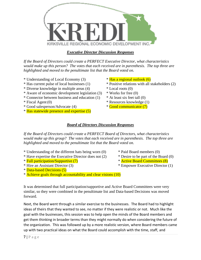

# *Executive Director Discussion Responses*

*If the Board of Directors could create a PERFECT Executive Director, what characteristics would make up this person? The votes that each received are in parenthesis. The top three are highlighted and moved to the penultimate list that the Board voted on.*

- \* Understanding of Local Economy (3) \* Has a regional outlook (6)
- 
- \* Diverse knowledge in multiple areas (4) \* Local roots (0)
- \* Aware of economic development legislation (3) \* Works for free (0)
- \* Connector between business and education (1) \* At least six feet tall (0)
- 
- \* Good salesperson/Advocate (4)  $\qquad \qquad$  \* Good communicator (7)
- \* Has statewide presence and expertise (5)
- 
- \* Has current pulse of local businesses (1) \* Positive relations with all stakeholders (2)
	-
	-
	-
- \* Fiscal Agent (0) \* Resources knowledge (1)
	-

# *Board of Directors Discussion Responses*

*If the Board of Directors could create a PERFECT Board of Directors, what characteristics would make up this group? The votes that each received are in parenthesis. The top three are highlighted and moved to the penultimate list that the Board voted on.*

- \* Understanding of the different hats being worn (0) \* Paid Board members (0)
- \* Have expertise the Executive Director does not (2) \* Desire to be part of the Board (0)
- \* Full participation/Supportive (7)  $\bullet$  \* Active Board Committees (8)
- 
- \* Data-based Decisions (5)
- \* Achieve goals through accountability and clear visions (10)

It was determined that full participation/supportive and Active Board Committees were very similar, so they were combined in the penultimate list and Data-based Decisions was moved forward.

Next, the Board went through a similar exercise to the businesses. The Board had to highlight ideas of theirs that they wanted to see, no matter if they were realistic or not. Much like the goal with the businesses, this session was to help open the minds of the Board members and get them thinking in broader terms than they might normally do when considering the future of the organization. This was followed up by a more realistic version, where Board members came up with two practical ideas on what the Board could accomplish with the time, staff, and

- 
- 
- 
- \* Hire an Assistant Director (3) \* Empower Executive Director (1)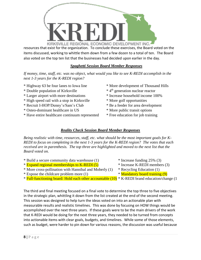

resources that exist for the organization. To conclude these exercises, the Board voted on the items discussed, working to whittle them down from a few dozen to a total of ten. The Board also voted on the top ten list that the businesses had decided upon earlier in the day.

# *Spaghetti Session Board Member Responses*

*If money, time, staff, etc. was no object, what would you like to see K-REDI accomplish in the next 1-3 years for the K-REDI region?*

- \* Highway 63 be four lanes to Iowa line \* More development of Thousand Hills
- \* Double population of Kirksville  $* 4<sup>th</sup>$  generation nuclear reactor
- \* Larger airport with more destinations \* Increase household income 100%
- \* High speed rail with a stop in Kirksville \* More golf opportunities
- \* Recruit I-HOP/Denny's/Sam's Club \* Be a feeder for area development
- \* Osteo-dominant healthcare in US \* More public transit options
- \* Have entire healthcare continuum represented \* Free education for job training
- 
- 
- 
- 
- 
- -

# *Reality Check Session Board Member Responses*

*Being realistic with time, resources, staff, etc. what should be the most important goals for K-REDI to focus on completing in the next 1-3 years for the K-REDI region? The votes that each received are in parenthesis. The top three are highlighted and moved to the next list that the Board voted on.*

- \* Build a secure community data warehouse (1) \* Increase funding 25% (3) \* Expand regional memberships to K-REDI (5) \* Increase K-REDI members (3) \* More cross-pollination with Hannibal and Moberly (1) \* Recycling Education (1) \* Expose the childcare problem more  $(1)$  \* Mandatory board training  $(9)$ 
	-
- \* Full-functioning board: Hold each other accountable (10) \* K-REDI brand education/change (1
- The third and final meeting focused on a final vote to determine the top three to five objectives in the strategic plan, whittling it down from the list created at the end of the second meeting. This session was designed to help turn the ideas voted on into an actionable plan with measurable results and realistic timelines. This was done by focusing on HOW things would be accomplished over the next three years. If these goals were to be the main drivers of the work that K-REDI would be doing for the next three years, they needed to be turned from concepts into actionable items with clear goals, budgets, and timelines. While some of those elements, such as budget, were harder to pin down for various reasons, the discussion was useful because
- 
-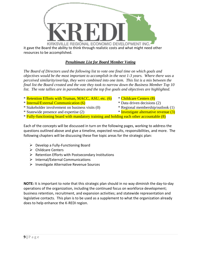

# *Penultimate List for Board Member Voting*

*The Board of Directors used the following list to vote one final time on which goals and objectives would be the most important to accomplish in the next 1-3 years. Where there was a perceived similarity/overlap, they were combined into one item. This list is a mix between the final list the Board created and the vote they took to narrow down the Business Member Top 10 list. The vote tallies are in parentheses and the top five goals and objectives are highlighted.*

- \* Retention Efforts with Truman, MACC, ASU, etc. (6) \* Childcare Centers (8)
- \* **Internal/External Communication (6)** \* The state of the series and the series (2)
- \* Stakeholder involvement on business visits (0) \* Regional membership/outlook (1)
- \* Statewide presence and expertise (2)  $\qquad$  \* Investigate alternative revenue (3)
- 
- 
- 
- 
- \* Fully-functioning board with mandatory training and holding each other accountable (8)

Each of the concepts will be discussed in turn on the following pages, working to address the questions outlined above and give a timeline, expected results, responsibilities, and more. The following chapters will be discussing these five topic areas for the strategic plan:

- ➢ Develop a Fully-Functioning Board
- ➢ Childcare Centers
- ➢ Retention Efforts with Postsecondary Institutions
- ➢ Internal/External Communications
- ➢ Investigate Alternative Revenue Sources

**NOTE:** It is important to note that this strategic plan should in no way diminish the day-to-day operations of the organization, including the continued focus on workforce development; business retention, recruitment, and expansion activities; and statewide representation and legislative contacts. This plan is to be used as a supplement to what the organization already does to help enhance the K-REDI region.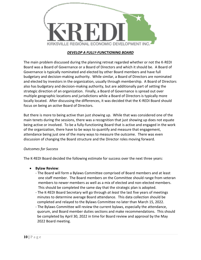

# *DEVELOP A FULLY-FUNCTIONING BOARD*

The main problem discussed during the planning retreat regarded whether or not the K-REDI Board was a Board of Governance or a Board of Directors and which it should be. A Board of Governance is typically nominated and elected by other Board members and have full budgetary and decision-making authority. While similar, a Board of Directors are nominated and elected by investors in the organization, usually through membership. A Board of Directors also has budgetary and decision-making authority, but are additionally part of setting the strategic direction of an organization. Finally, a Board of Governance is spread out over multiple geographic locations and jurisdictions while a Board of Directors is typically more locally located. After discussing the differences, it was decided that the K-REDI Board should focus on being an *active* Board of Directors.

But there is more to being active than just showing up. While that was considered one of the main tenets during the sessions, there was a recognition that just showing up does not equate being active or involved. To be a fully-functioning Board that is active and engaged in the work of the organization, there have to be ways to quantify and measure that engagement, attendance being just one of the many ways to measure the outcome. There was even discussion of changing the Board structure and the Director roles moving forward.

# *Outcomes for Success*

The K-REDI Board decided the following estimate for success over the next three years:

- **Bylaw Review**:
	- The Board will form a Bylaws Committee comprised of Board members and at least one staff member. The Board members on the Committee should range from veteran members to newer members as well as a mix of elected and non-elected members. This should be completed the same day that the strategic plan is adopted.
	- The K-REDI Board Secretary will go through *at least* the last five years of meetings minutes to determine average Board attendance. This data collection should be completed and relayed to the Bylaws Committee no later than March 15, 2022.
	- The Bylaws Committee will review the current bylaws, especially the attendance, quorum, and Board member duties sections and make recommendations. This should be completed by April 30, 2022 in time for Board review and approval by the May 2022 Board meeting.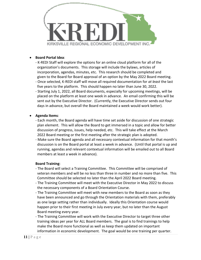

## • **Board Portal Idea**:

- K-REDI Staff will explore the options for an online cloud platform for all of the organization's documents. This storage will include the bylaws, articles of incorporation, agendas, minutes, etc. This research should be completed and given to the Board for Board approval of an option by the May 2022 Board meeting.
- Once selected, K-REDI staff will move all required documentation for *at least* the last five years to the platform. This should happen no later than June 30, 2022.
- Starting July 1, 2022, all Board documents, especially for upcoming meetings, will be placed on the platform at least one week in advance. An email confirming this will be sent out by the Executive Director. (Currently, the Executive Director sends out four days in advance, but overall the Board maintained a week would work better).

## • **Agenda Items**:

- Each month, the Board agenda will have time set aside for discussion of one strategic plan element. This will allow the Board to get immersed in a topic and allow for better discussion of progress, issues, help needed, etc. This will take effect at the March 2022 Board meeting or the first meeting after the strategic plan is adopted.
- Make sure the Board agenda and all necessary contextual information for that month's discussion is on the Board portal at least a week in advance. (Until that portal is up and running, agendas and relevant contextual information will be emailed out to all Board members at least a week in advance).

#### **Board Training**:

- The Board will select a Training Committee. This Committee will be comprised of veteran members and will be no less than three in number and no more than five. This Committee should be selected no later than the April 2022 Board meeting.
- The Training Committee will meet with the Executive Director in May 2022 to discuss the necessary components of a Board Orientation Course.
- The Training Committee will meet with new members to the Board as soon as they have been announced and go through the Orientation materials with them, preferably as one large setting rather than individually. Ideally this Orientation course would happen prior to their first meeting in July every year, but no later than the August Board meeting every year.
- The Training Committee will work with the Executive Director to target three other training ideas per year for ALL Board members. The goal is to find trainings to help make the Board more functional as well as keep them updated on important information in economic development. The goal would be one training per quarter.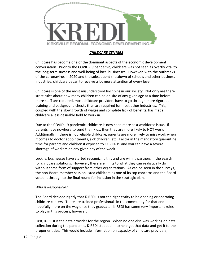

# *CHILDCARE CENTERS*

Childcare has become one of the dominant aspects of the economic development conversation. Prior to the COVID-19 pandemic, childcare was not seen as overtly vital to the long-term success and well-being of local businesses. However, with the outbreaks of the coronavirus in 2020 and the subsequent shutdown of schools and other business industries, childcare began to receive a lot more attention at every level.

Childcare is one of the most misunderstood linchpins in our society. Not only are there strict rules about how many children can be on site of any given age at a time before more staff are required, most childcare providers have to go through more rigorous training and background checks than are required for most other industries. This, coupled with the slow growth of wages and complete lack of benefits, has made childcare a less desirable field to work in.

Due to the COVID-19 pandemic, childcare is now seen more as a workforce issue. If parents have nowhere to send their kids, then they are more likely to NOT work. Additionally, if there is not reliable childcare, parents are more likely to miss work when it comes to doctor appointments, sick children, etc. Factor in the mandatory quarantine time for parents and children if exposed to COVID-19 and you can have a severe shortage of workers on any given day of the week.

Luckily, businesses have started recognizing this and are willing partners in the search for childcare solutions. However, there are limits to what they can realistically do without some form of support from other organizations. As can be seen in the surveys, the non-Board member session listed childcare as one of its top concerns and the Board voted it through to the final round for inclusion in the strategic plan.

# *Who is Responsible?*

The Board decided rightly that K-REDI is not the right entity to be opening or operating childcare centers. There are trained professionals in the community for that and hopefully more on the way once they graduate. K-REDI has some very important roles to play in this process, however.

First, K-REDI is the data provider for the region. When no one else was working on data collection during the pandemic, K-REDI stepped in to help get that data and get it to the proper entities. This would include information on capacity of childcare providers,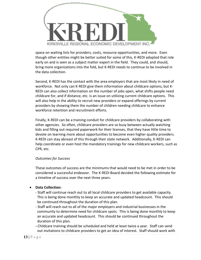

space on waiting lists for providers, costs, resource opportunities, and more. Even though other entities might be better suited for some of this, K-REDI adopted that role early on and is seen as a subject matter expert in the field. They could, and should, bring more organizations into the fold, but K-REDI needs to continue to be involved in the data collection.

Second, K-REDI has the contact with the area employers that are most likely in need of workforce. Not only can K-REDI give them information about childcare options, but K-REDI can also collect information on the number of jobs open, what shifts people need childcare for, and if distance, etc. is an issue on utilizing current childcare options. This will also help in the ability to recruit new providers or expand offerings by current providers by showing them the number of children needing childcare to enhance workforce retention and recruitment efforts.

Finally, K-REDI can be a training conduit for childcare providers by collaborating with other agencies. So often, childcare providers are so busy between actually watching kids and filling out required paperwork for their licenses, that they have little time to devote on learning more about opportunities to become even higher quality providers. K-REDI can stay abreast of this through their state network. Additionally, K-REDI can help coordinate or even host the mandatory trainings for new childcare workers, such as CPR, etc.

#### *Outcomes for Success*

These outcomes of success are the minimums that would need to be met in order to be considered a successful endeavor. The K-REDI Board decided the following estimate for a timeline of success over the next three years:

# • **Data Collection:**

- Staff will continue reach out to all local childcare providers to get available capacity. This is being done monthly to keep an accurate and updated headcount. This should be continued throughout the duration of this plan.
- Staff will reach out to all of the major employers and industrial businesses in the community to determine need for childcare spots. This is being done monthly to keep an accurate and updated headcount. This should be continued throughout the duration of this plan.
- **-** Childcare training should be scheduled and held at least twice a year. Staff can send out invitations to childcare providers to get an idea of interest. Staff should work with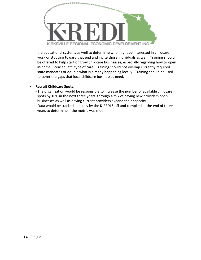

 the educational systems as well to determine who might be interested in childcare work or studying toward that end and invite those individuals as well. Training should be offered to help start or grow childcare businesses, especially regarding how to open in-home, licensed, etc. type of care. Training should not overlap currently required state mandates or double what is already happening locally. Training should be used to cover the gaps that local childcare businesses need.

# • **Recruit Childcare Spots**:

- The organization would be responsible to increase the number of available childcare spots by 10% in the next three years through a mix of having new providers open businesses as well as having current providers expand their capacity.
- Data would be tracked annually by the K-REDI Staff and compiled at the end of three years to determine if the metric was met.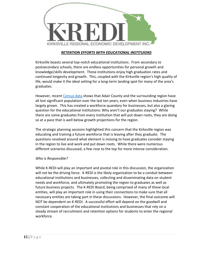

## *RETENTION EFFORTS WITH EDUCATIONAL INSTITUIONS*

Kirksville boasts several top-notch educational institutions. From secondary to postsecondary schools, there are endless opportunities for personal growth and knowledge/skills development. These institutions enjoy high graduation rates and continued longevity and growth. This, coupled with the Kirksville region's high quality of life, would make it the ideal setting for a long-term landing spot for many of the area's graduates.

However, recent [Census data](https://www.census.gov/library/stories/state-by-state/missouri-population-change-between-census-decade.html) shows that Adair County and the surrounding region have all lost significant population over the last ten years, even when business industries have largely grown. This has created a workforce quandary for businesses, but also a glaring question for the educational institutions: Why aren't our graduates staying? While there are some graduates from every institution that will put down roots, they are doing so at a pace that is well below growth projections for the region.

The strategic planning sessions highlighted this concern that the Kirksville region was educating and training a future workforce that is leaving after they graduate. The questions revolved around what element is missing to have graduates consider staying in the region to live and work and put down roots. While there were numerous different scenarios discussed, a few rose to the top for more intense consideration.

#### *Who is Responsible?*

While K-REDI will play an important and pivotal role in this discussion, the organization will not be the driving force. K-REDI is the likely organization to be a conduit between educational institutions and businesses, collecting and disseminating data on student needs and workforce, and ultimately promoting the region to graduates as well as future business projects. The K-REDI Board, being comprised of many of these local entities, will play an important role in using their connections to make sure that all necessary entities are taking part in these discussions. However, the final outcome will NOT be dependent on K-REDI. A successful effort will depend on the goodwill and constant cooperation of the educational institutions and businesses that rely on a steady stream of recruitment and retention options for students to enter the regional workforce.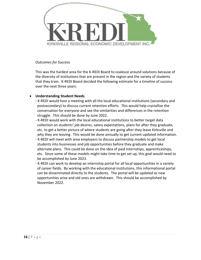

## *Outcomes for Success*

This was the hardest area for the K-REDI Board to coalesce around solutions because of the diversity of institutions that are present in the region and the variety of students that they train. K-REDI Board decided the following estimate for a timeline of success over the next three years:

# • **Understanding Student Needs**

- K-REDI would host a meeting with all the local educational institutions (secondary and postsecondary) to discuss current retention efforts. This would help crystallize the conversation for everyone and see the similarities and differences in the retention struggle. This should be done by June 2022.
- K-REDI would work with the local educational institutions to better target data collection on students' job desires, salary expectations, plans for after they graduate, etc. to get a better picture of where students are going after they leave Kirksville and why they are leaving. This would be done annually to get current updated information.
- K-REDI will meet with area employers to discuss partnership models to get local students into businesses and job opportunities before they graduate and make alternate plans. This could be done on the idea of paid internships, apprenticeships, etc. Since some of these models might take time to get set up, this goal would need to be accomplished by June 2023.
- K-REDI can work to develop an internship portal for all local opportunities in a variety of career fields. By working with the educational institutions, this informational portal can be disseminated directly to the students. The portal will be updated as new opportunities arise and old ones are withdrawn. This should be accomplished by November 2022.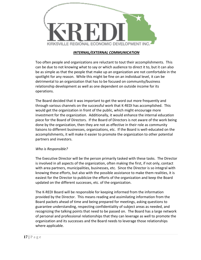

## *INTERNAL/EXTERNAL COMMUNICATION*

Too often people and organizations are reluctant to tout their accomplishments. This can be due to not knowing what to say or which audience to direct it to, but it can also be as simple as that the people that make up an organization are not comfortable in the spotlight for any reason. While this might be fine on an individual level, it can be detrimental to an organization that has to be focused on community/business relationship development as well as one dependent on outside income for its operations.

The Board decided that it was important to get the word out more frequently and through various channels on the successful work that K-REDI has accomplished. This would get the organization in front of the public, which might encourage more investment for the organization. Additionally, it would enhance the internal education piece for the Board of Directors. If the Board of Directors is not aware of the work being done by the organization, then they are not as effective in their role as community liaisons to different businesses, organizations, etc. If the Board is well-educated on the accomplishments, it will make it easier to promote the organization to other potential partners and investors.

#### *Who is Responsible?*

The Executive Director will be the person primarily tasked with these tasks. The Director is involved in all aspects of the organization, often making the first, if not only, contact with area partners, municipalities, businesses, etc. Since the Director is so integral with knowing these efforts, but also with the possible assistance to make them realities, it is easiest for the Director to publicize the efforts of the organization and keep the Board updated on the different successes, etc. of the organization.

The K-REDI Board will be responsible for keeping informed from the information provided by the Director. This means reading and assimilating information from the Board packets ahead of time and being prepared for meetings, asking questions to guarantee understanding, respecting confidentiality of subject areas as needed, and recognizing the talking points that need to be passed on. The Board has a large network of personal and professional relationships that they can leverage as well to promote the organization and its successes and the Board needs to leverage those relationships where applicable.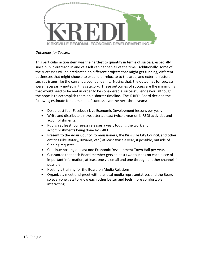

## *Outcomes for Success*

This particular action item was the hardest to quantify in terms of success, especially since public outreach in and of itself can happen all of the time. Additionally, some of the successes will be predicated on different projects that might get funding, different businesses that might choose to expand or relocate to the area, and external factors such as issues like the current global pandemic. Noting that, the outcomes for success were necessarily muted in this category. These outcomes of success are the minimums that would need to be met in order to be considered a successful endeavor, although the hope is to accomplish them on a shorter timeline. The K-REDI Board decided the following estimate for a timeline of success over the next three years:

- Do at least four Facebook Live Economic Development lessons per year.
- Write and distribute a newsletter at least twice a year on K-REDI activities and accomplishments.
- Publish at least four press releases a year, touting the work and accomplishments being done by K-REDI.
- Present to the Adair County Commissioners, the Kirksville City Council, and other entities (like Rotary, Kiwanis, etc.) at least twice a year, if possible, outside of funding requests.
- Continue hosting at least one Economic Development Town Hall per year.
- Guarantee that each Board member gets at least two touches on each piece of important information, at least one via email and one through another channel if possible.
- Hosting a training for the Board on Media Relations.
- Organize a meet-and-greet with the local media representatives and the Board so everyone gets to know each other better and feels more comfortable interacting.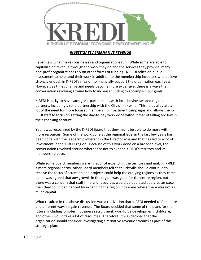

## *INVESTIGATE ALTERNATIVE REVENUE*

Revenue is what makes businesses and organizations run. While some are able to capitalize on revenue through the work they do and the services they provide, many non-profit organizations rely on other forms of funding. K-REDI relies on public investment to help fund their work in addition to the membership investors who believe strongly enough in K-REDI's mission to financially support the organization each year. However, as times change and needs become more expensive, there is always the conversation revolving around how to increase funding to accomplish our goals?

K-REDI is lucky to have such great partnerships with local businesses and regional partners, including a solid partnership with the City of Kirksville. This helps alleviate a lot of the need for more focused membership investment campaigns and allows the K-REDI staff to focus on getting the day-to-day work done without fear of falling too low in their checking account.

Yet, it was recognized by the K-REDI Board that they might be able to do more with more resources. Some of the work done at the regional level in the last few years has been done with the leadership inherent in the Director role and that has led to a lot of investment in the K-REDI region. Because of this work done on a broader level, the conversation revolved around whether or not to expand K-REDI's territory and its membership base.

While some Board members were in favor of expanding the territory and making K-REDI a more regional entity, other Board members felt that Kirksville should continue to receive the focus of attention and projects could help the outlying regions as they came up. It was agreed that any growth in the region was good for the entire region, but there was a concern that staff time and resources would be depleted at a greater pace than they could be financed by expanding the region into areas where there was not as much capital.

What resulted in the above discussion was a realization that K-REDI needed to find more and different ways to gain revenue. The Board decided that some of the plans for the future, including long-term business recruitment, workforce development, childcare, and others would take a lot of resources. Therefore, it was decided that the organization should consider investigating alternative revenue streams as part of this strategic plan.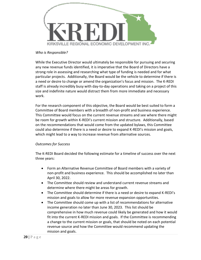

#### *Who is Responsible?*

While the Executive Director would ultimately be responsible for pursuing and securing any new revenue funds identified, it is imperative that the Board of Directors have a strong role in assessing and researching what type of funding is needed and for what particular projects. Additionally, the Board would be the vehicle to determine if there is a need or desire to change or amend the organization's focus and mission. The K-REDI staff is already incredibly busy with day-to-day operations and taking on a project of this size and indefinite nature would distract them from more immediate and necessary work.

For the research component of this objective, the Board would be best suited to form a Committee of Board members with a breadth of non-profit and business experience. This Committee would focus on the current revenue streams and see where there might be room for growth within K-REDI's current mission and structure. Additionally, based on the recommendations that would come from the updated bylaws, this Committee could also determine if there is a need or desire to expand K-REDI's mission and goals, which might lead to a way to increase revenue from alternative sources.

# *Outcomes for Success*

The K-REDI Board decided the following estimate for a timeline of success over the next three years:

- Form an Alternative Revenue Committee of Board members with a variety of non-profit and business experience. This should be accomplished no later than April 30, 2022.
- The Committee should review and understand current revenue streams and determine where there might be areas for growth.
- The Committee should determine if there is a need or desire to expand K-REDI's mission and goals to allow for more revenue expansion opportunities.
- The Committee should come up with a list of recommendations for alternative income generation no later than June 30, 2023. This list should be comprehensive in how much revenue could likely be generated and how it would fit into the current K-REDI mission and goals. If the Committee is recommending a change to the current mission or goals, that should be noted on each potential revenue source and how the Committee would recommend updating the mission and goals.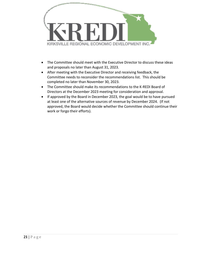

- The Committee should meet with the Executive Director to discuss these ideas and proposals no later than August 31, 2023.
- After meeting with the Executive Director and receiving feedback, the Committee needs to reconsider the recommendations list. This should be completed no later than November 30, 2023.
- The Committee should make its recommendations to the K-REDI Board of Directors at the December 2023 meeting for consideration and approval.
- If approved by the Board in December 2023, the goal would be to have pursued at least one of the alternative sources of revenue by December 2024. (If not approved, the Board would decide whether the Committee should continue their work or forgo their efforts).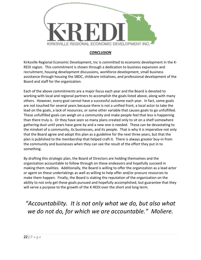

# *CONCLUSION*

Kirksville Regional Economic Development, Inc is committed to economic development in the K-REDI region. This commitment is shown through a dedication to business expansion and recruitment, housing development discussions, workforce development, small business assistance through housing the SBDC, childcare initiatives, and professional development of the Board and staff for the organization.

Each of the above commitments are a major focus each year and the Board is devoted to working with local and regional partners to accomplish the goals listed above, along with many others. However, every goal cannot have a successful outcome each year. In fact, some goals are not touched for several years because there is not a unified front, a local actor to take the lead on the goals, a lack of resources, or some other variable that causes goals to go unfulfilled. These unfulfilled goals can weigh on a community and make people feel that less is happening than there truly is. Or they have seen so many plans created only to sit on a shelf somewhere gathering dust until years have gone by and a new one is needed. These can be devastating to the mindset of a community, its businesses, and its people. That is why it is imperative not only that the Board agree and adopt this plan as a guideline for the next three years, but that the plan is published to the membership that helped craft it. There is always greater buy-in from the community and businesses when they can see the result of the effort they put in to something.

By drafting this strategic plan, the Board of Directors are holding themselves and the organization accountable to follow through on these endeavors and hopefully succeed in making them realities. Additionally, the Board is willing to offer the organization as a lead actor or agent on these undertakings as well as willing to help offer and/or procure resources to make them happen. Finally, the Board is staking the reputation of the organization on the ability to not only get these goals pursued and hopefully accomplished, but guarantee that they will serve a purpose to the growth of the K-REDI over the short and long term.

*"Accountability. It is not only what we do, but also what we do not do, for which we are accountable." Moliere.*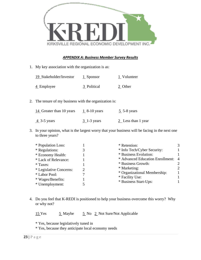

#### *APPENDIX A: Business Member Survey Results*

1. My key association with the organization is as:

| 19 Stakeholder/Investor | 1 Sponsor   | 1 Volunteer |
|-------------------------|-------------|-------------|
| 4 Employee              | 3 Political | 2 Other     |

2. The tenure of my business with the organization is:

| 14 Greater than 10 years | 1 $8-10$ years | $5$ 5-8 years        |
|--------------------------|----------------|----------------------|
| <u>4</u> 3-5 years       | $3$ 1-3 years  | $2$ Less than 1 year |

3. In your opinion, what is the largest worry that your business will be facing in the next one to three years?

|               | * Retention:                     | 3                                                                        |
|---------------|----------------------------------|--------------------------------------------------------------------------|
|               | * Info Tech/Cyber Security:      |                                                                          |
|               | * Business Evolution:            |                                                                          |
|               | * Advanced Education Enrollment: | $\overline{4}$                                                           |
|               | * Business Growth:               | $\mathcal{D}_{\mathcal{L}}$                                              |
| $\mathcal{D}$ | * Marketing:                     | $\mathcal{D}_{\mathcal{A}}$                                              |
|               |                                  |                                                                          |
|               |                                  |                                                                          |
|               |                                  |                                                                          |
|               |                                  | * Organizational Membership:<br>* Facility Use:<br>* Business Start-Ups: |

4. Do you feel that K-REDI is positioned to help your business overcome this worry? Why or why not?

15 Yes  $\qquad 5$  Maybe  $\qquad 5$  No 2 Not Sure/Not Applicable

\* Yes, because legislatively tuned in

\* Yes, because they anticipate local economy needs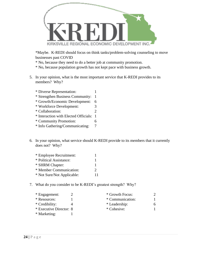

\*Maybe. K-REDI should focus on think tanks/problem-solving counseling to move businesses past COVID

\* No, because they need to do a better job at community promotion.

\* No, because population growth has not kept pace with business growth.

- 5. In your opinion, what is the most important service that K-REDI provides to its members? Why?
	- \* Diverse Representation: 1 \* Strengthen Business Community: 1 \* Growth/Economic Development: 6 \* Workforce Development: 3 \* Collaboration: 2 \* Interaction with Elected Officials: 1
	- \* Community Promotion: 6
	- \* Info Gathering/Communicating: 7
- 6. In your opinion, what service should K-REDI provide to its members that it currently does not? Why?
	- \* Employee Recruitment: 1 \* Political Assistance: 1 \* SHRM Chapter: 1 \* Member Communication: 2 \* Not Sure/Not Applicable: 11
- 7. What do you consider to be K-REDI's greatest strength? Why?

| * Engagement:           | * Growth Focus:  |    |
|-------------------------|------------------|----|
| * Resources:            | * Communication: |    |
| * Credibility:          | * Leadership:    | 6. |
| * Executive Director: 8 | * Cohesive:      |    |
| * Marketing:            |                  |    |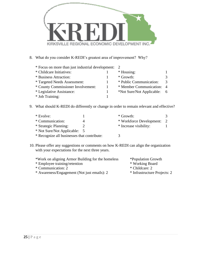

8. What do you consider K-REDI's greatest area of improvement? Why?

| * Focus on more than just industrial development: 2 |  |                           |               |
|-----------------------------------------------------|--|---------------------------|---------------|
| * Childcare Initiatives:                            |  | * Housing:                |               |
| * Business Attraction:                              |  | * Growth:                 | $\mathcal{F}$ |
| <i>*</i> Targeted Needs Assessment:                 |  | * Public Communication:   | $\mathcal{R}$ |
| * County Commissioner Involvement:                  |  | * Member Communication: 4 |               |
| * Legislative Assistance:                           |  | *Not Sure/Not Applicable: | - 6           |
| * Job Training:                                     |  |                           |               |

9. What should K-REDI do differently or change in order to remain relevant and effective?

| * Evolve:                                   |  | * Growth:                  |  |
|---------------------------------------------|--|----------------------------|--|
| * Communication:                            |  | * Workforce Development: 2 |  |
| * Strategic Planning:                       |  | * Increase visibility:     |  |
| * Not Sure/Not Applicable: 5                |  |                            |  |
| * Recognize all businesses that contribute: |  |                            |  |

10. Please offer any suggestions or comments on how K-REDI can align the organization with your expectations for the next three years.

| *Work on aligning Armor Building for the homeless | *Population Growth           |
|---------------------------------------------------|------------------------------|
| * Employee training/retention                     | * Working Board              |
| * Communication: 2                                | * Childcare: 2               |
| * Awareness/Engagement (Not just emails): 2       | * Infrastructure Projects: 2 |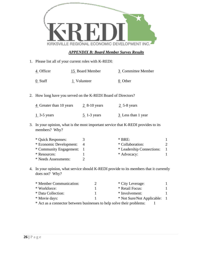|                                                                                                        |                                                                       | KIRKSVILLE REGIONAL ECONOMIC DEVELOPMENT INC   |                                                                                      |              |
|--------------------------------------------------------------------------------------------------------|-----------------------------------------------------------------------|------------------------------------------------|--------------------------------------------------------------------------------------|--------------|
|                                                                                                        |                                                                       | <b>APPENDIX B: Board Member Survey Results</b> |                                                                                      |              |
| 1.                                                                                                     | Please list all of your current roles with K-REDI:                    |                                                |                                                                                      |              |
|                                                                                                        | $\frac{4}{5}$ Officer                                                 | 15 Board Member                                | 3 Committee Member                                                                   |              |
|                                                                                                        | $0$ Staff                                                             | $1$ Volunteer                                  | $0$ Other                                                                            |              |
| 2.                                                                                                     | How long have you served on the K-REDI Board of Directors?            |                                                |                                                                                      |              |
|                                                                                                        | $\frac{4}{5}$ Greater than 10 years $\frac{2}{5}$ 8-10 years          |                                                | $2$ 5-8 years                                                                        |              |
|                                                                                                        | $1\overline{3}$ -5 years                                              | $\frac{5}{2}$ 1-3 years                        | $\frac{3}{2}$ Less than 1 year                                                       |              |
| 3.<br>In your opinion, what is the most important service that K-REDI provides to its<br>members? Why? |                                                                       |                                                |                                                                                      |              |
|                                                                                                        | * Quick Responses:                                                    | 3                                              | $*$ BRE:                                                                             | 1            |
|                                                                                                        | * Economic Development:                                               | $\overline{4}$                                 | * Collaboration:                                                                     | 2            |
|                                                                                                        | * Community Engagement:                                               | 1                                              | * Leadership Connections:                                                            | 1            |
|                                                                                                        | * Resources:                                                          | $\mathbf{1}$                                   | * Advocacy:                                                                          | 1            |
|                                                                                                        | * Needs Assessments:                                                  | $\overline{2}$                                 |                                                                                      |              |
| 4.                                                                                                     | does not? Why?                                                        |                                                | In your opinion, what service should K-REDI provide to its members that it currently |              |
|                                                                                                        | * Member Communication:                                               | 2                                              | * City Leverage:                                                                     | 1            |
|                                                                                                        | * Workforce:                                                          | 1                                              | * Retail Focus:                                                                      | 1            |
|                                                                                                        | * Data Collection:                                                    | $\mathbf{1}$                                   | * Involvement:                                                                       | 1            |
|                                                                                                        | * Movie days:                                                         | 1                                              | * Not Sure/Not Applicable:                                                           | $\mathbf{1}$ |
|                                                                                                        | * Act as a connector between businesses to help solve their problems: |                                                | 1                                                                                    |              |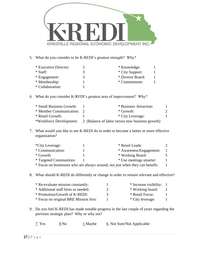

5. What do you consider to be K-REDI's greatest strength? Why?

| * Executive Director: | * Knowledge:     |  |
|-----------------------|------------------|--|
| * Staff:              | * City Support:  |  |
| * Engagement:         | * Diverse Board: |  |
| * Membership:         | * Commitment:    |  |
| * Collaboration:      |                  |  |

# 6. What do you consider K-REDI's greatest area of improvement? Why?

| * Small Business Growth:  | * Business Attraction:                                                  |             |
|---------------------------|-------------------------------------------------------------------------|-------------|
| * Member Communication: 2 | $*$ Growth:                                                             | $2^{\circ}$ |
| * Retail Growth:          | * City Leverage:                                                        |             |
|                           | *Workforce Development: 2 (Balance of labor versus new business growth) |             |

7. What would you like to see K-REDI do in order to become a better or more effective organization?

| *City Leverage:         | * Retail Leads:                                                              |  |
|-------------------------|------------------------------------------------------------------------------|--|
| * Communication:        | * Awareness/Engagement:                                                      |  |
| * Growth:               | * Working Board:                                                             |  |
| * Targeted Communities: | * Use meetings smarter:                                                      |  |
|                         | * Focus on businesses who are always around, not just when they can benefit: |  |

8. What should K-REDI do differently or change in order to remain relevant and effective?

| * Re-evaluate mission constantly:      |   | * Increase visibility: 1 |  |
|----------------------------------------|---|--------------------------|--|
| * Additional staff hires as needed:    |   | * Working board:         |  |
| * Promotion/Growth of K-REDI:          | К | * Retail Focus:          |  |
| * Focus on original BRE Mission first: |   | * City leverage:         |  |
|                                        |   |                          |  |

9. Do you feel K-REDI has made notable progress in the last couple of years regarding the previous strategic plan? Why or why not?

| 7 Yes | 0 N <sub>0</sub> | $1$ Maybe | 6 Not Sure/Not Applicable |
|-------|------------------|-----------|---------------------------|
|-------|------------------|-----------|---------------------------|